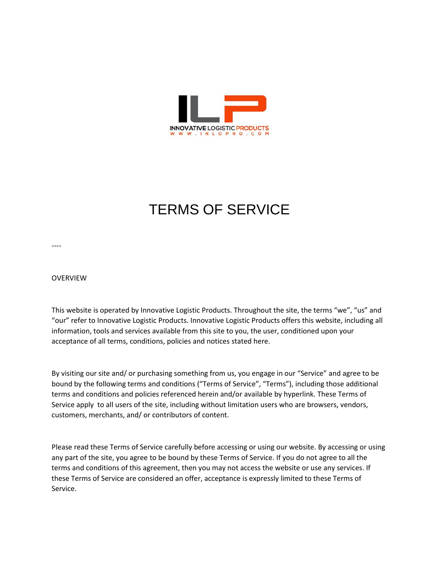

# TERMS OF SERVICE

----

#### OVERVIEW

This website is operated by Innovative Logistic Products. Throughout the site, the terms "we", "us" and "our" refer to Innovative Logistic Products. Innovative Logistic Products offers this website, including all information, tools and services available from this site to you, the user, conditioned upon your acceptance of all terms, conditions, policies and notices stated here.

By visiting our site and/ or purchasing something from us, you engage in our "Service" and agree to be bound by the following terms and conditions ("Terms of Service", "Terms"), including those additional terms and conditions and policies referenced herein and/or available by hyperlink. These Terms of Service apply to all users of the site, including without limitation users who are browsers, vendors, customers, merchants, and/ or contributors of content.

Please read these Terms of Service carefully before accessing or using our website. By accessing or using any part of the site, you agree to be bound by these Terms of Service. If you do not agree to all the terms and conditions of this agreement, then you may not access the website or use any services. If these Terms of Service are considered an offer, acceptance is expressly limited to these Terms of Service.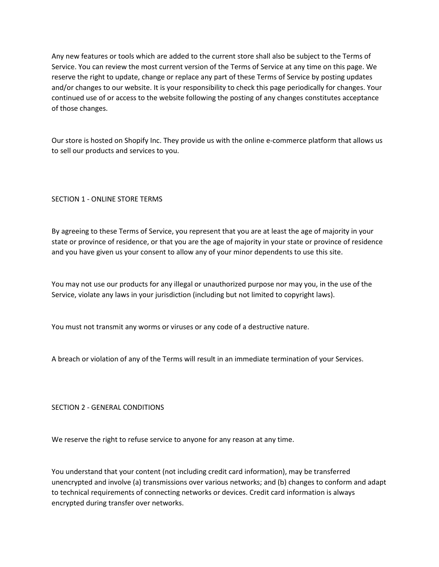Any new features or tools which are added to the current store shall also be subject to the Terms of Service. You can review the most current version of the Terms of Service at any time on this page. We reserve the right to update, change or replace any part of these Terms of Service by posting updates and/or changes to our website. It is your responsibility to check this page periodically for changes. Your continued use of or access to the website following the posting of any changes constitutes acceptance of those changes.

Our store is hosted on Shopify Inc. They provide us with the online e-commerce platform that allows us to sell our products and services to you.

# SECTION 1 - ONLINE STORE TERMS

By agreeing to these Terms of Service, you represent that you are at least the age of majority in your state or province of residence, or that you are the age of majority in your state or province of residence and you have given us your consent to allow any of your minor dependents to use this site.

You may not use our products for any illegal or unauthorized purpose nor may you, in the use of the Service, violate any laws in your jurisdiction (including but not limited to copyright laws).

You must not transmit any worms or viruses or any code of a destructive nature.

A breach or violation of any of the Terms will result in an immediate termination of your Services.

SECTION 2 - GENERAL CONDITIONS

We reserve the right to refuse service to anyone for any reason at any time.

You understand that your content (not including credit card information), may be transferred unencrypted and involve (a) transmissions over various networks; and (b) changes to conform and adapt to technical requirements of connecting networks or devices. Credit card information is always encrypted during transfer over networks.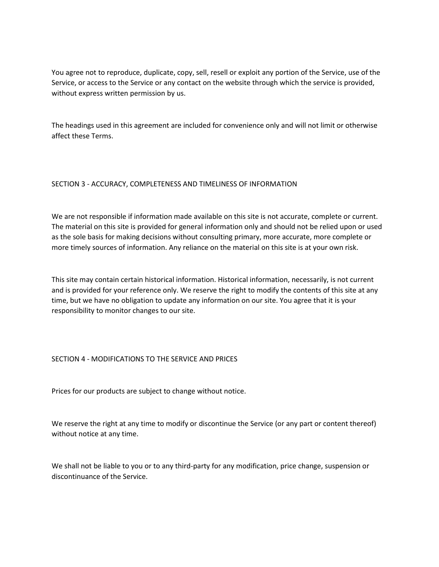You agree not to reproduce, duplicate, copy, sell, resell or exploit any portion of the Service, use of the Service, or access to the Service or any contact on the website through which the service is provided, without express written permission by us.

The headings used in this agreement are included for convenience only and will not limit or otherwise affect these Terms.

# SECTION 3 - ACCURACY, COMPLETENESS AND TIMELINESS OF INFORMATION

We are not responsible if information made available on this site is not accurate, complete or current. The material on this site is provided for general information only and should not be relied upon or used as the sole basis for making decisions without consulting primary, more accurate, more complete or more timely sources of information. Any reliance on the material on this site is at your own risk.

This site may contain certain historical information. Historical information, necessarily, is not current and is provided for your reference only. We reserve the right to modify the contents of this site at any time, but we have no obligation to update any information on our site. You agree that it is your responsibility to monitor changes to our site.

# SECTION 4 - MODIFICATIONS TO THE SERVICE AND PRICES

Prices for our products are subject to change without notice.

We reserve the right at any time to modify or discontinue the Service (or any part or content thereof) without notice at any time.

We shall not be liable to you or to any third-party for any modification, price change, suspension or discontinuance of the Service.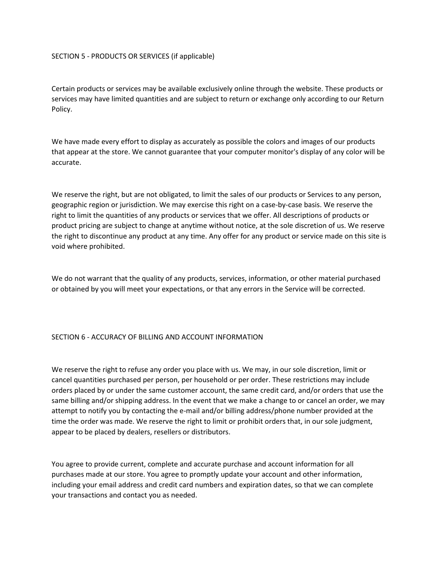## SECTION 5 - PRODUCTS OR SERVICES (if applicable)

Certain products or services may be available exclusively online through the website. These products or services may have limited quantities and are subject to return or exchange only according to our Return Policy.

We have made every effort to display as accurately as possible the colors and images of our products that appear at the store. We cannot guarantee that your computer monitor's display of any color will be accurate.

We reserve the right, but are not obligated, to limit the sales of our products or Services to any person, geographic region or jurisdiction. We may exercise this right on a case-by-case basis. We reserve the right to limit the quantities of any products or services that we offer. All descriptions of products or product pricing are subject to change at anytime without notice, at the sole discretion of us. We reserve the right to discontinue any product at any time. Any offer for any product or service made on this site is void where prohibited.

We do not warrant that the quality of any products, services, information, or other material purchased or obtained by you will meet your expectations, or that any errors in the Service will be corrected.

#### SECTION 6 - ACCURACY OF BILLING AND ACCOUNT INFORMATION

We reserve the right to refuse any order you place with us. We may, in our sole discretion, limit or cancel quantities purchased per person, per household or per order. These restrictions may include orders placed by or under the same customer account, the same credit card, and/or orders that use the same billing and/or shipping address. In the event that we make a change to or cancel an order, we may attempt to notify you by contacting the e-mail and/or billing address/phone number provided at the time the order was made. We reserve the right to limit or prohibit orders that, in our sole judgment, appear to be placed by dealers, resellers or distributors.

You agree to provide current, complete and accurate purchase and account information for all purchases made at our store. You agree to promptly update your account and other information, including your email address and credit card numbers and expiration dates, so that we can complete your transactions and contact you as needed.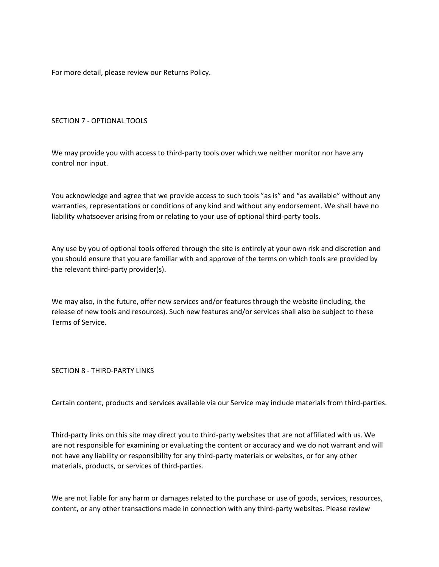For more detail, please review our Returns Policy.

SECTION 7 - OPTIONAL TOOLS

We may provide you with access to third-party tools over which we neither monitor nor have any control nor input.

You acknowledge and agree that we provide access to such tools "as is" and "as available" without any warranties, representations or conditions of any kind and without any endorsement. We shall have no liability whatsoever arising from or relating to your use of optional third-party tools.

Any use by you of optional tools offered through the site is entirely at your own risk and discretion and you should ensure that you are familiar with and approve of the terms on which tools are provided by the relevant third-party provider(s).

We may also, in the future, offer new services and/or features through the website (including, the release of new tools and resources). Such new features and/or services shall also be subject to these Terms of Service.

SECTION 8 - THIRD-PARTY LINKS

Certain content, products and services available via our Service may include materials from third-parties.

Third-party links on this site may direct you to third-party websites that are not affiliated with us. We are not responsible for examining or evaluating the content or accuracy and we do not warrant and will not have any liability or responsibility for any third-party materials or websites, or for any other materials, products, or services of third-parties.

We are not liable for any harm or damages related to the purchase or use of goods, services, resources, content, or any other transactions made in connection with any third-party websites. Please review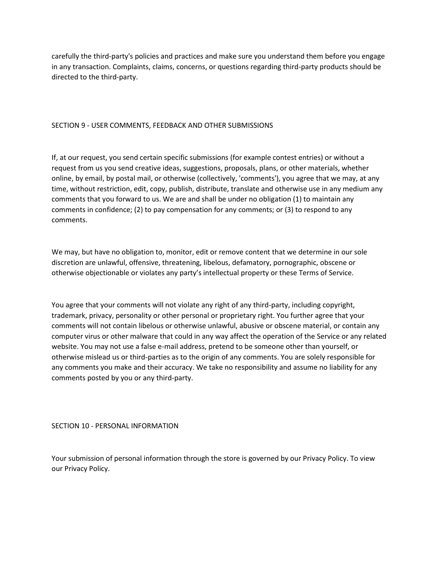carefully the third-party's policies and practices and make sure you understand them before you engage in any transaction. Complaints, claims, concerns, or questions regarding third-party products should be directed to the third-party.

# SECTION 9 - USER COMMENTS, FEEDBACK AND OTHER SUBMISSIONS

If, at our request, you send certain specific submissions (for example contest entries) or without a request from us you send creative ideas, suggestions, proposals, plans, or other materials, whether online, by email, by postal mail, or otherwise (collectively, 'comments'), you agree that we may, at any time, without restriction, edit, copy, publish, distribute, translate and otherwise use in any medium any comments that you forward to us. We are and shall be under no obligation (1) to maintain any comments in confidence; (2) to pay compensation for any comments; or (3) to respond to any comments.

We may, but have no obligation to, monitor, edit or remove content that we determine in our sole discretion are unlawful, offensive, threatening, libelous, defamatory, pornographic, obscene or otherwise objectionable or violates any party's intellectual property or these Terms of Service.

You agree that your comments will not violate any right of any third-party, including copyright, trademark, privacy, personality or other personal or proprietary right. You further agree that your comments will not contain libelous or otherwise unlawful, abusive or obscene material, or contain any computer virus or other malware that could in any way affect the operation of the Service or any related website. You may not use a false e-mail address, pretend to be someone other than yourself, or otherwise mislead us or third-parties as to the origin of any comments. You are solely responsible for any comments you make and their accuracy. We take no responsibility and assume no liability for any comments posted by you or any third-party.

#### SECTION 10 - PERSONAL INFORMATION

Your submission of personal information through the store is governed by our Privacy Policy. To view our Privacy Policy.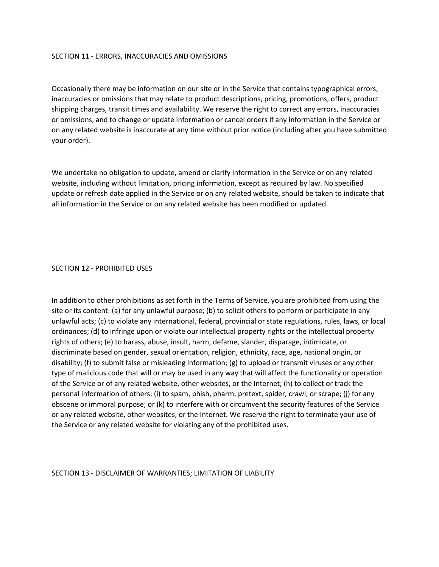## SECTION 11 - ERRORS, INACCURACIES AND OMISSIONS

Occasionally there may be information on our site or in the Service that contains typographical errors, inaccuracies or omissions that may relate to product descriptions, pricing, promotions, offers, product shipping charges, transit times and availability. We reserve the right to correct any errors, inaccuracies or omissions, and to change or update information or cancel orders if any information in the Service or on any related website is inaccurate at any time without prior notice (including after you have submitted your order).

We undertake no obligation to update, amend or clarify information in the Service or on any related website, including without limitation, pricing information, except as required by law. No specified update or refresh date applied in the Service or on any related website, should be taken to indicate that all information in the Service or on any related website has been modified or updated.

## SECTION 12 - PROHIBITED USES

In addition to other prohibitions as set forth in the Terms of Service, you are prohibited from using the site or its content: (a) for any unlawful purpose; (b) to solicit others to perform or participate in any unlawful acts; (c) to violate any international, federal, provincial or state regulations, rules, laws, or local ordinances; (d) to infringe upon or violate our intellectual property rights or the intellectual property rights of others; (e) to harass, abuse, insult, harm, defame, slander, disparage, intimidate, or discriminate based on gender, sexual orientation, religion, ethnicity, race, age, national origin, or disability; (f) to submit false or misleading information; (g) to upload or transmit viruses or any other type of malicious code that will or may be used in any way that will affect the functionality or operation of the Service or of any related website, other websites, or the Internet; (h) to collect or track the personal information of others; (i) to spam, phish, pharm, pretext, spider, crawl, or scrape; (j) for any obscene or immoral purpose; or (k) to interfere with or circumvent the security features of the Service or any related website, other websites, or the Internet. We reserve the right to terminate your use of the Service or any related website for violating any of the prohibited uses.

#### SECTION 13 - DISCLAIMER OF WARRANTIES; LIMITATION OF LIABILITY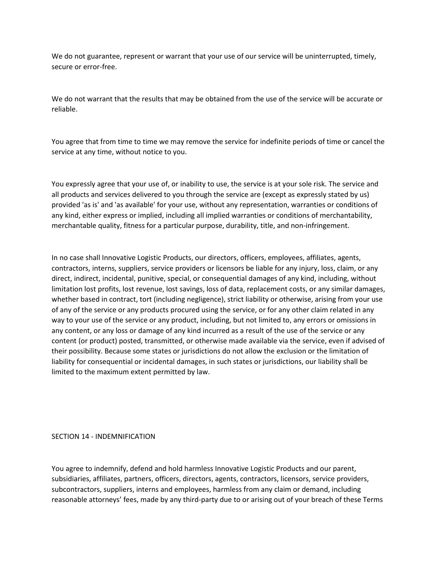We do not guarantee, represent or warrant that your use of our service will be uninterrupted, timely, secure or error-free.

We do not warrant that the results that may be obtained from the use of the service will be accurate or reliable.

You agree that from time to time we may remove the service for indefinite periods of time or cancel the service at any time, without notice to you.

You expressly agree that your use of, or inability to use, the service is at your sole risk. The service and all products and services delivered to you through the service are (except as expressly stated by us) provided 'as is' and 'as available' for your use, without any representation, warranties or conditions of any kind, either express or implied, including all implied warranties or conditions of merchantability, merchantable quality, fitness for a particular purpose, durability, title, and non-infringement.

In no case shall Innovative Logistic Products, our directors, officers, employees, affiliates, agents, contractors, interns, suppliers, service providers or licensors be liable for any injury, loss, claim, or any direct, indirect, incidental, punitive, special, or consequential damages of any kind, including, without limitation lost profits, lost revenue, lost savings, loss of data, replacement costs, or any similar damages, whether based in contract, tort (including negligence), strict liability or otherwise, arising from your use of any of the service or any products procured using the service, or for any other claim related in any way to your use of the service or any product, including, but not limited to, any errors or omissions in any content, or any loss or damage of any kind incurred as a result of the use of the service or any content (or product) posted, transmitted, or otherwise made available via the service, even if advised of their possibility. Because some states or jurisdictions do not allow the exclusion or the limitation of liability for consequential or incidental damages, in such states or jurisdictions, our liability shall be limited to the maximum extent permitted by law.

# SECTION 14 - INDEMNIFICATION

You agree to indemnify, defend and hold harmless Innovative Logistic Products and our parent, subsidiaries, affiliates, partners, officers, directors, agents, contractors, licensors, service providers, subcontractors, suppliers, interns and employees, harmless from any claim or demand, including reasonable attorneys' fees, made by any third-party due to or arising out of your breach of these Terms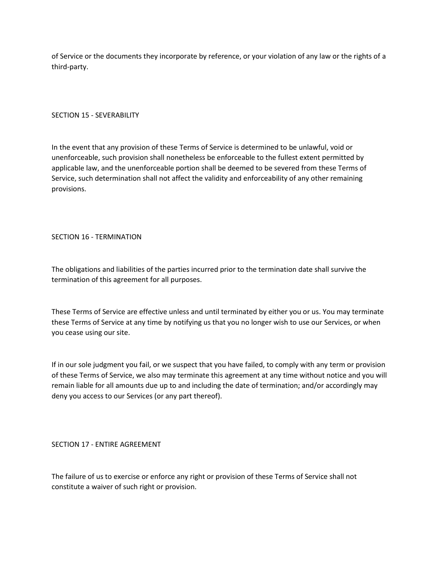of Service or the documents they incorporate by reference, or your violation of any law or the rights of a third-party.

# SECTION 15 - SEVERABILITY

In the event that any provision of these Terms of Service is determined to be unlawful, void or unenforceable, such provision shall nonetheless be enforceable to the fullest extent permitted by applicable law, and the unenforceable portion shall be deemed to be severed from these Terms of Service, such determination shall not affect the validity and enforceability of any other remaining provisions.

# SECTION 16 - TERMINATION

The obligations and liabilities of the parties incurred prior to the termination date shall survive the termination of this agreement for all purposes.

These Terms of Service are effective unless and until terminated by either you or us. You may terminate these Terms of Service at any time by notifying us that you no longer wish to use our Services, or when you cease using our site.

If in our sole judgment you fail, or we suspect that you have failed, to comply with any term or provision of these Terms of Service, we also may terminate this agreement at any time without notice and you will remain liable for all amounts due up to and including the date of termination; and/or accordingly may deny you access to our Services (or any part thereof).

#### SECTION 17 - ENTIRE AGREEMENT

The failure of us to exercise or enforce any right or provision of these Terms of Service shall not constitute a waiver of such right or provision.